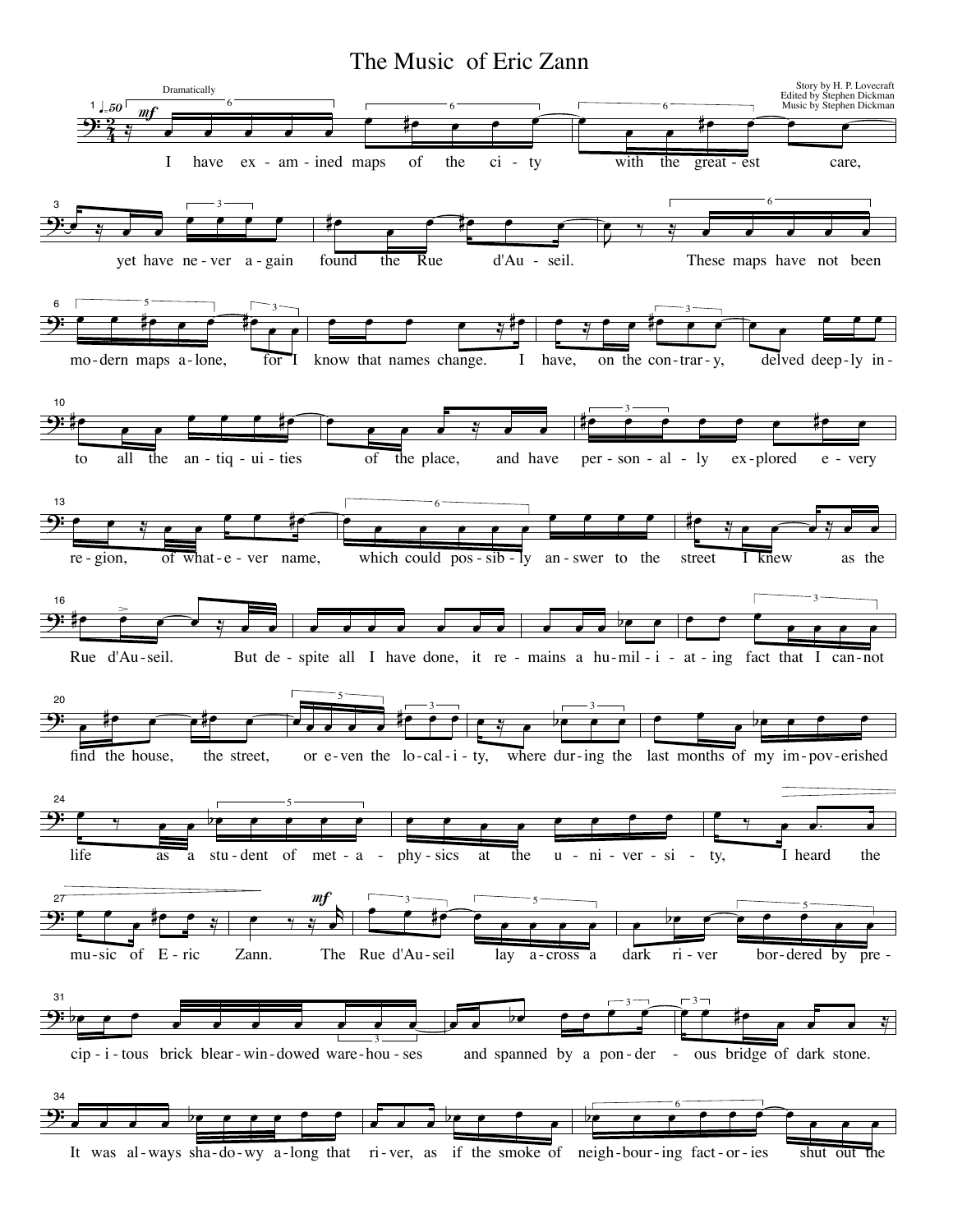The Music of Eric Zann

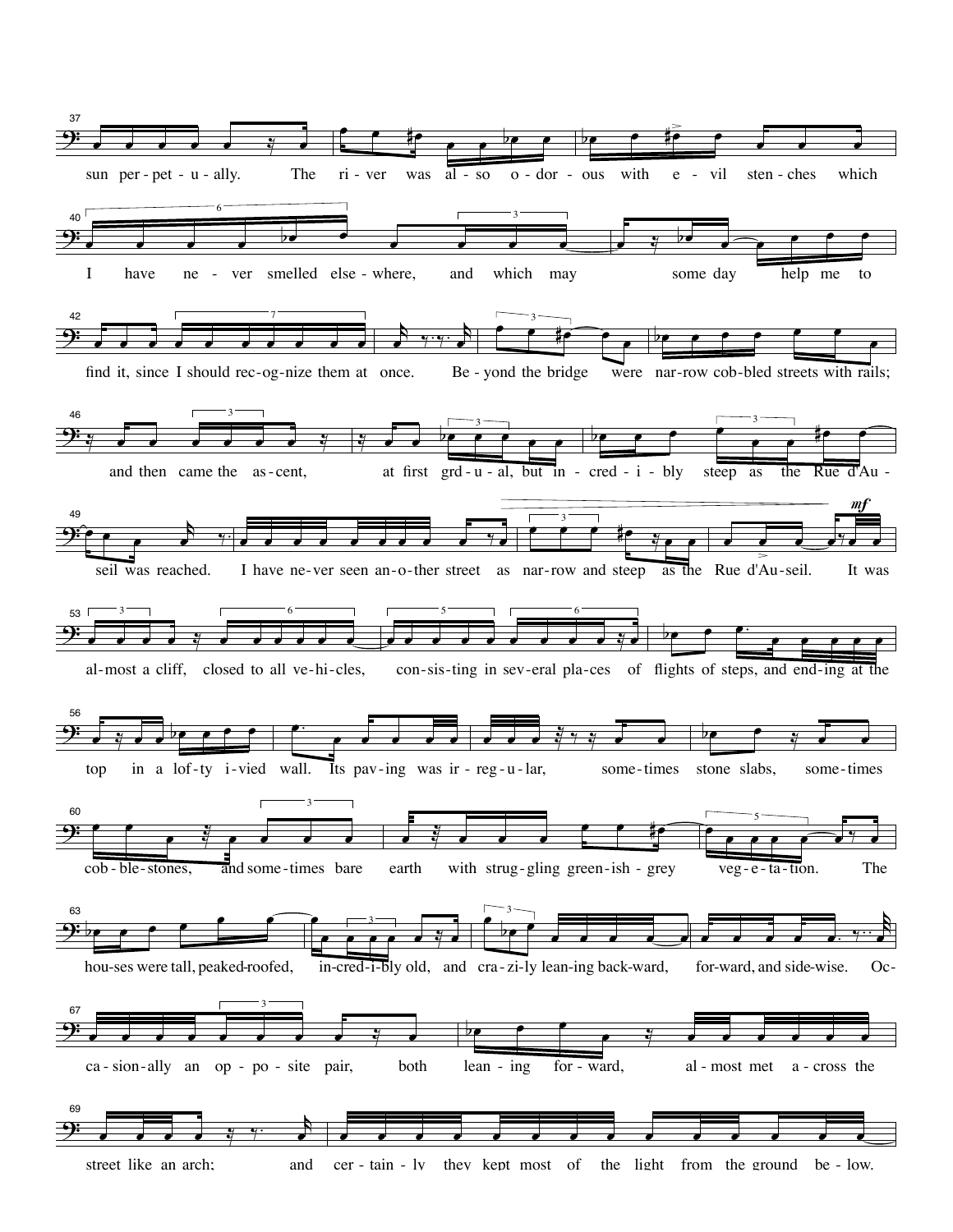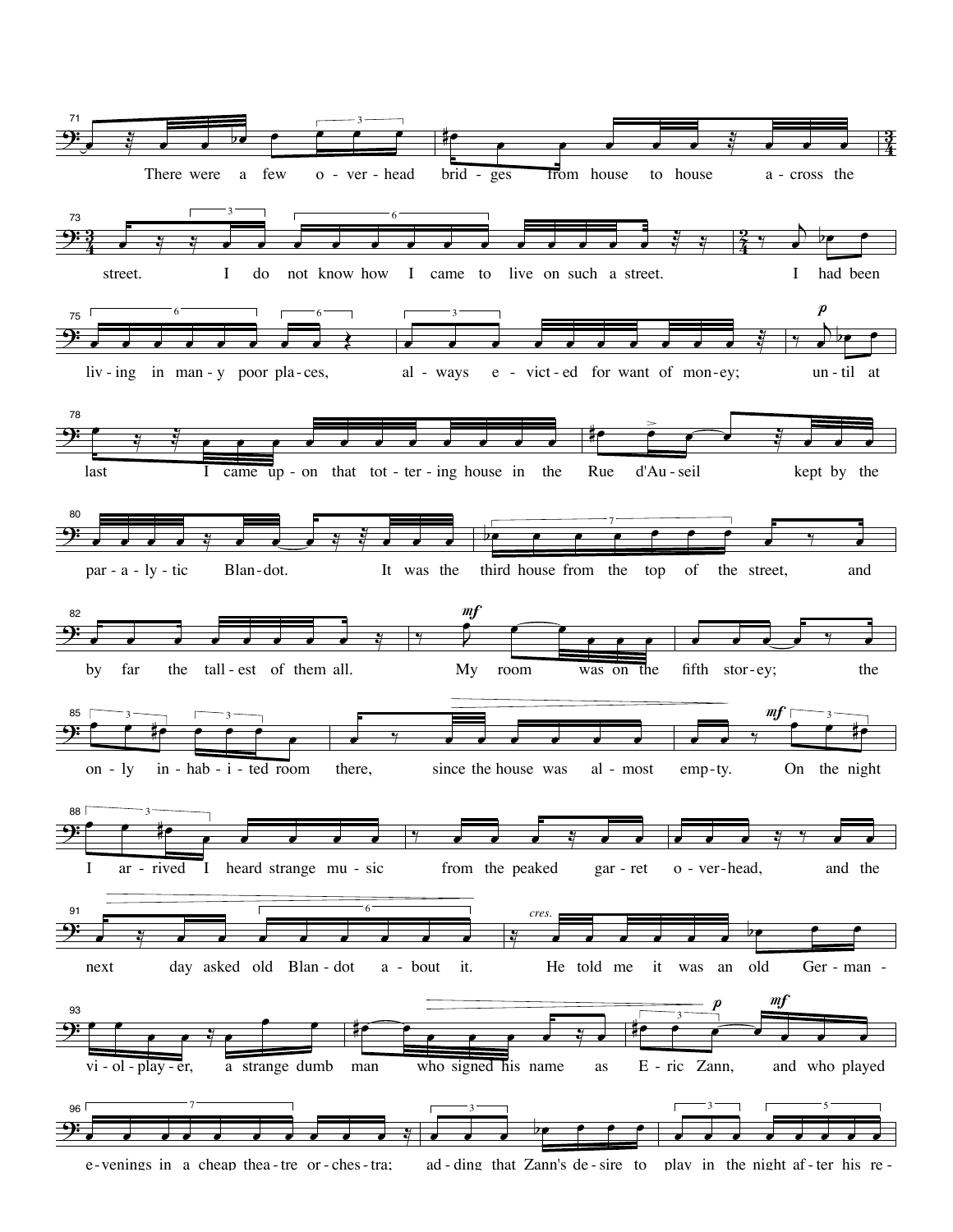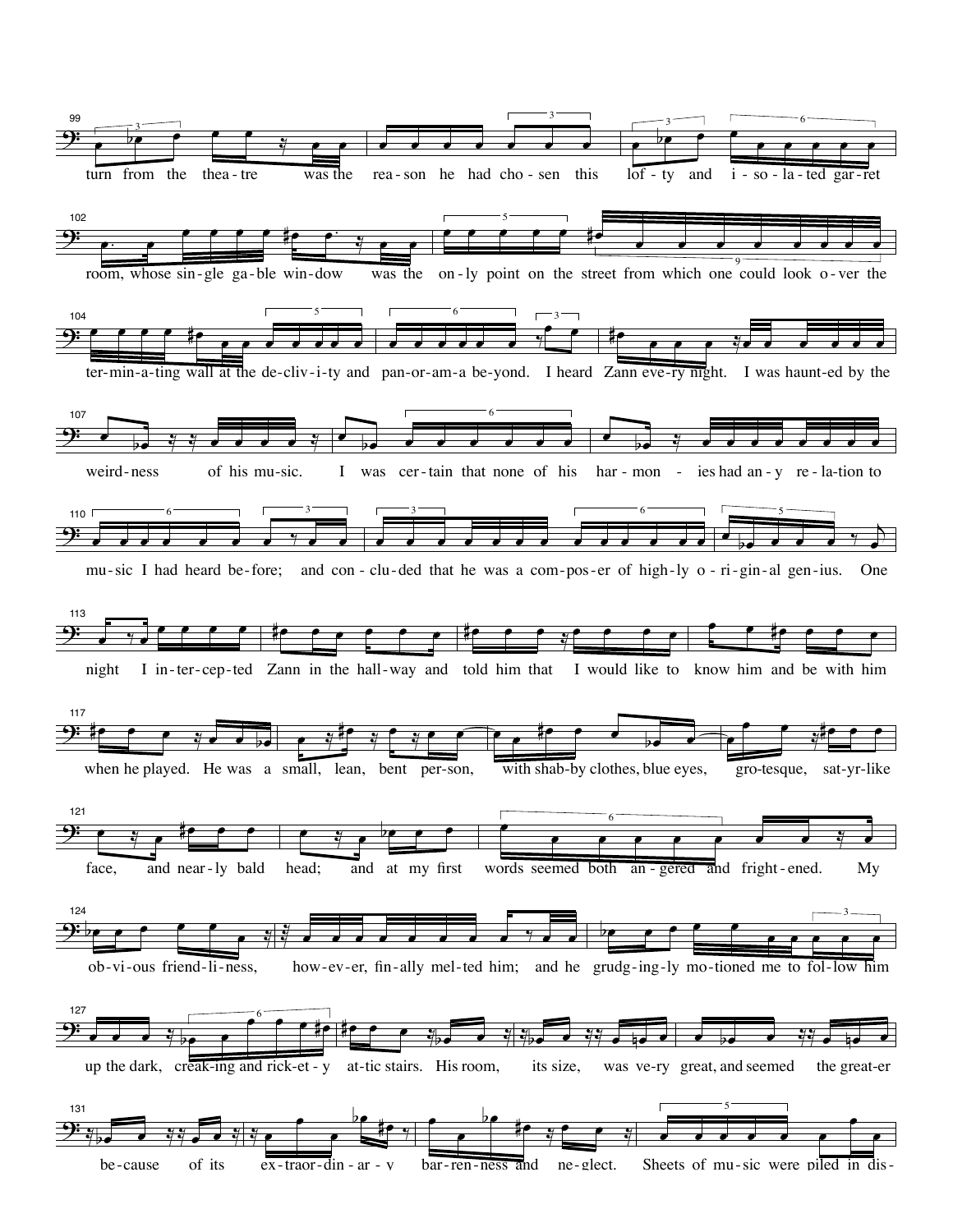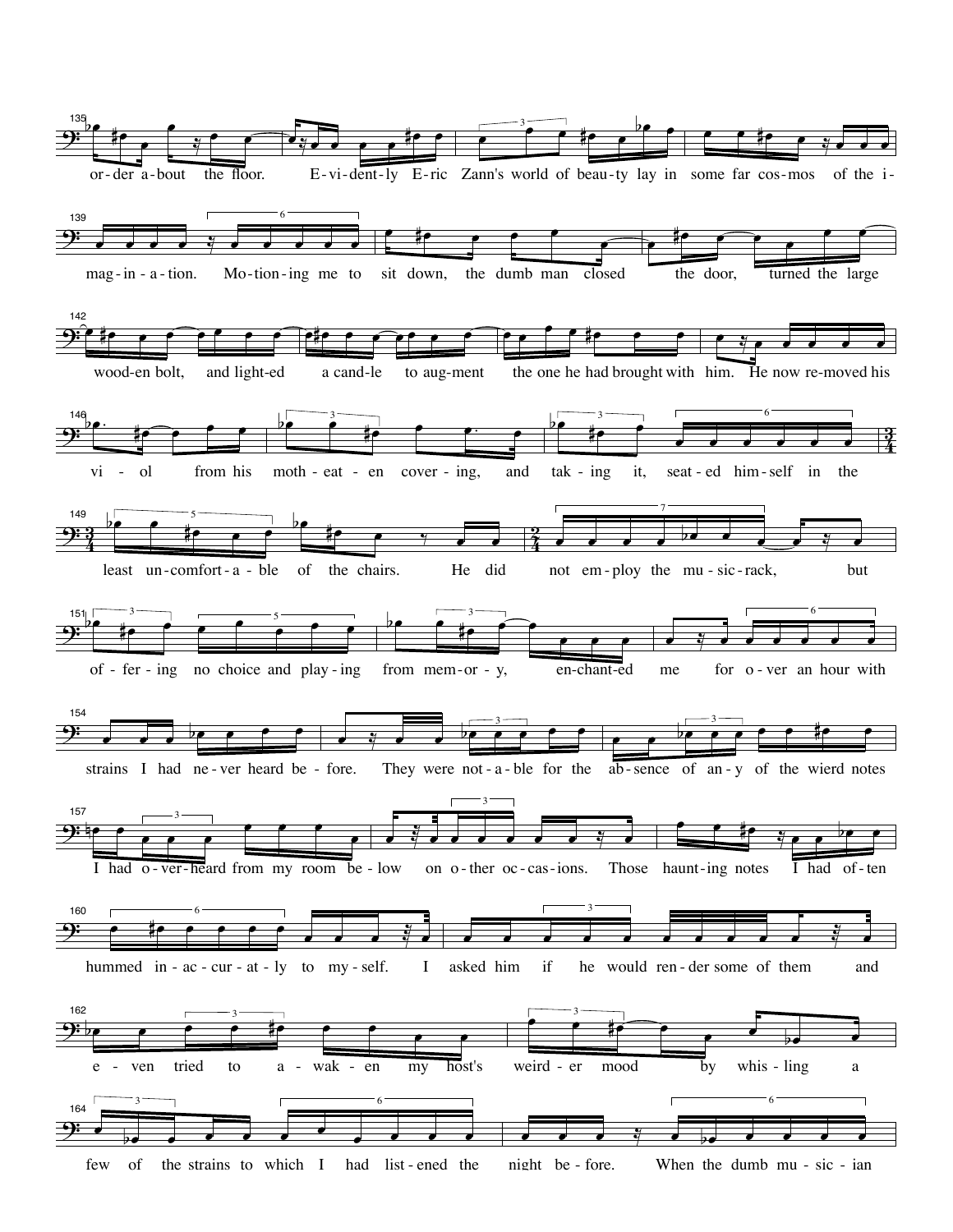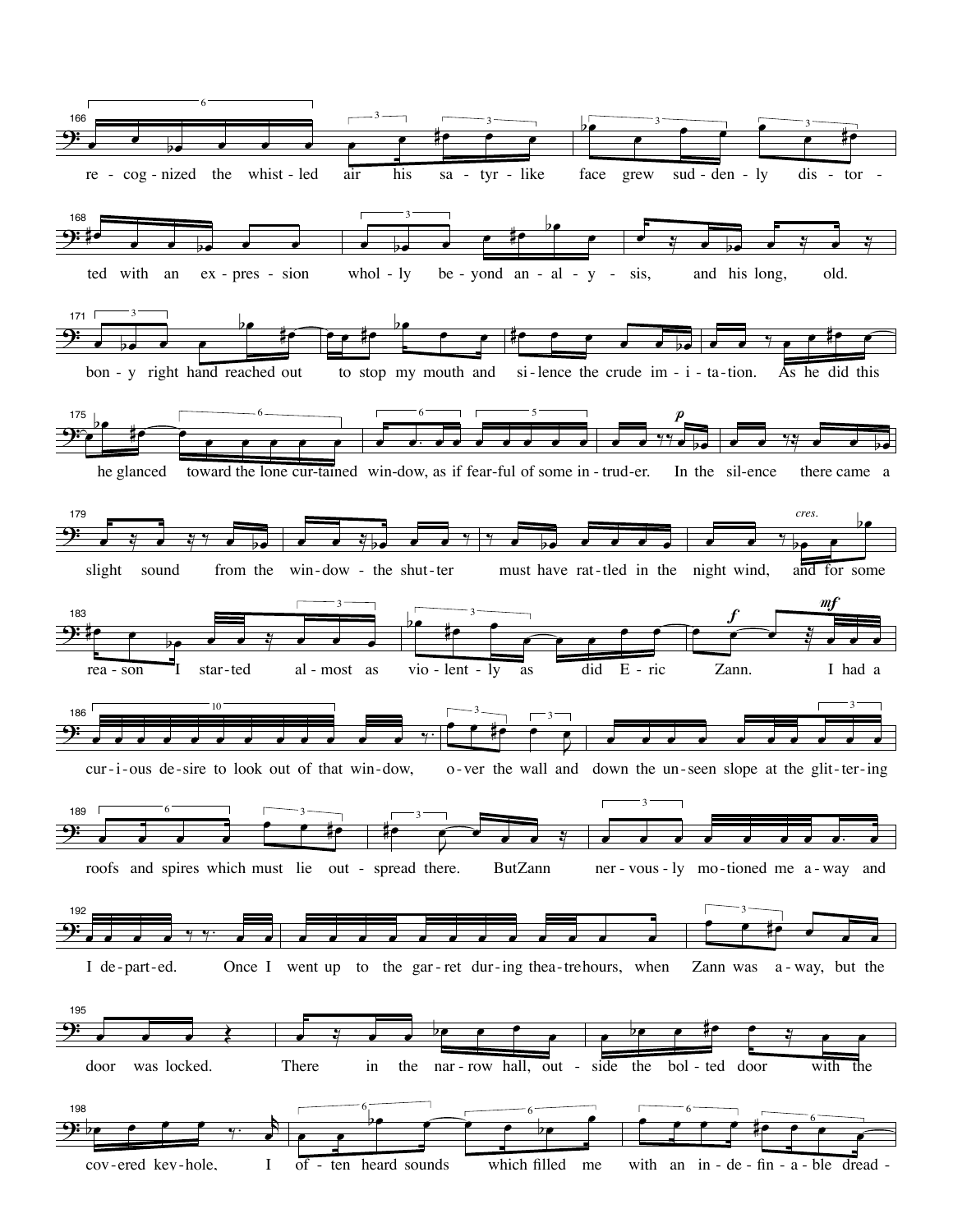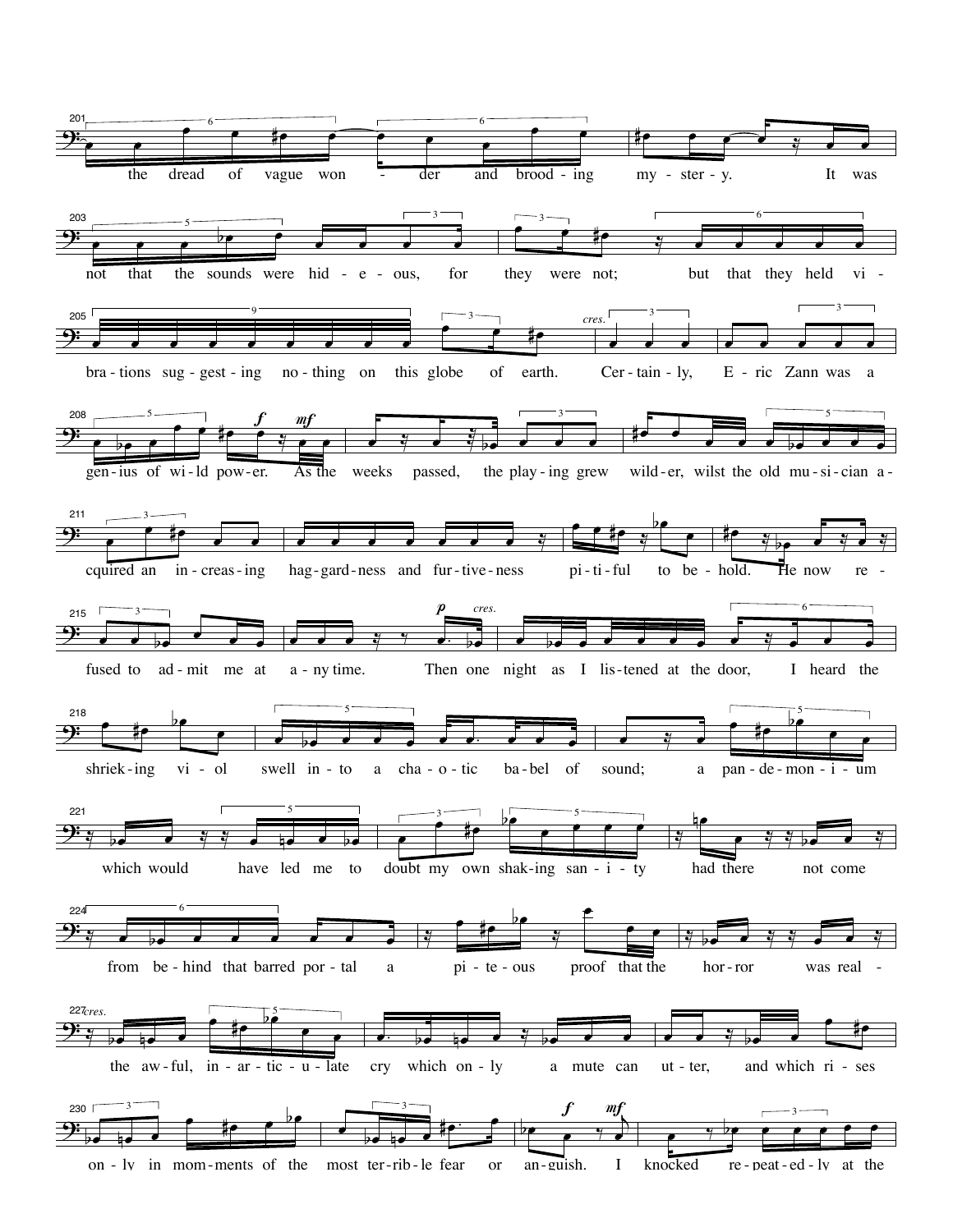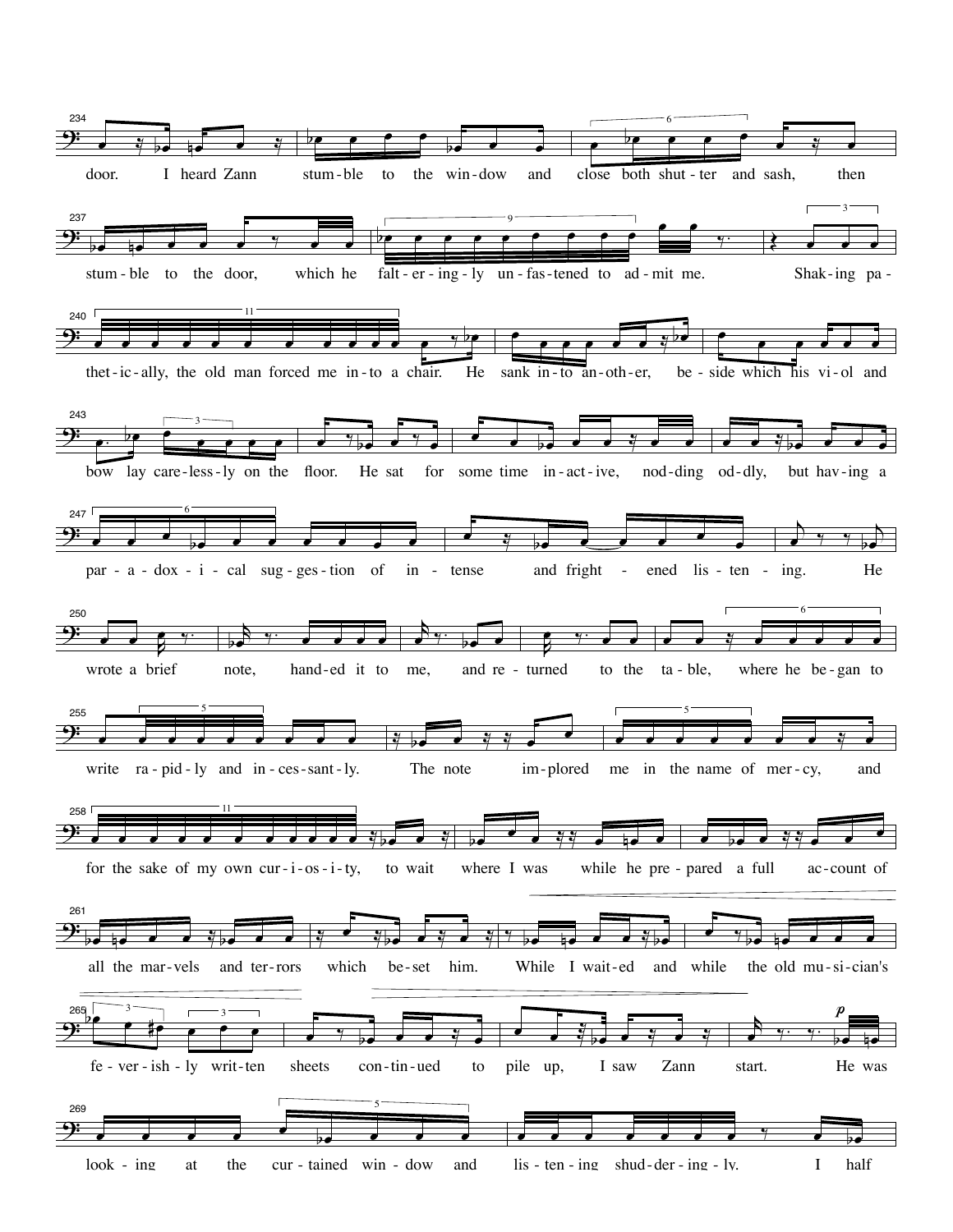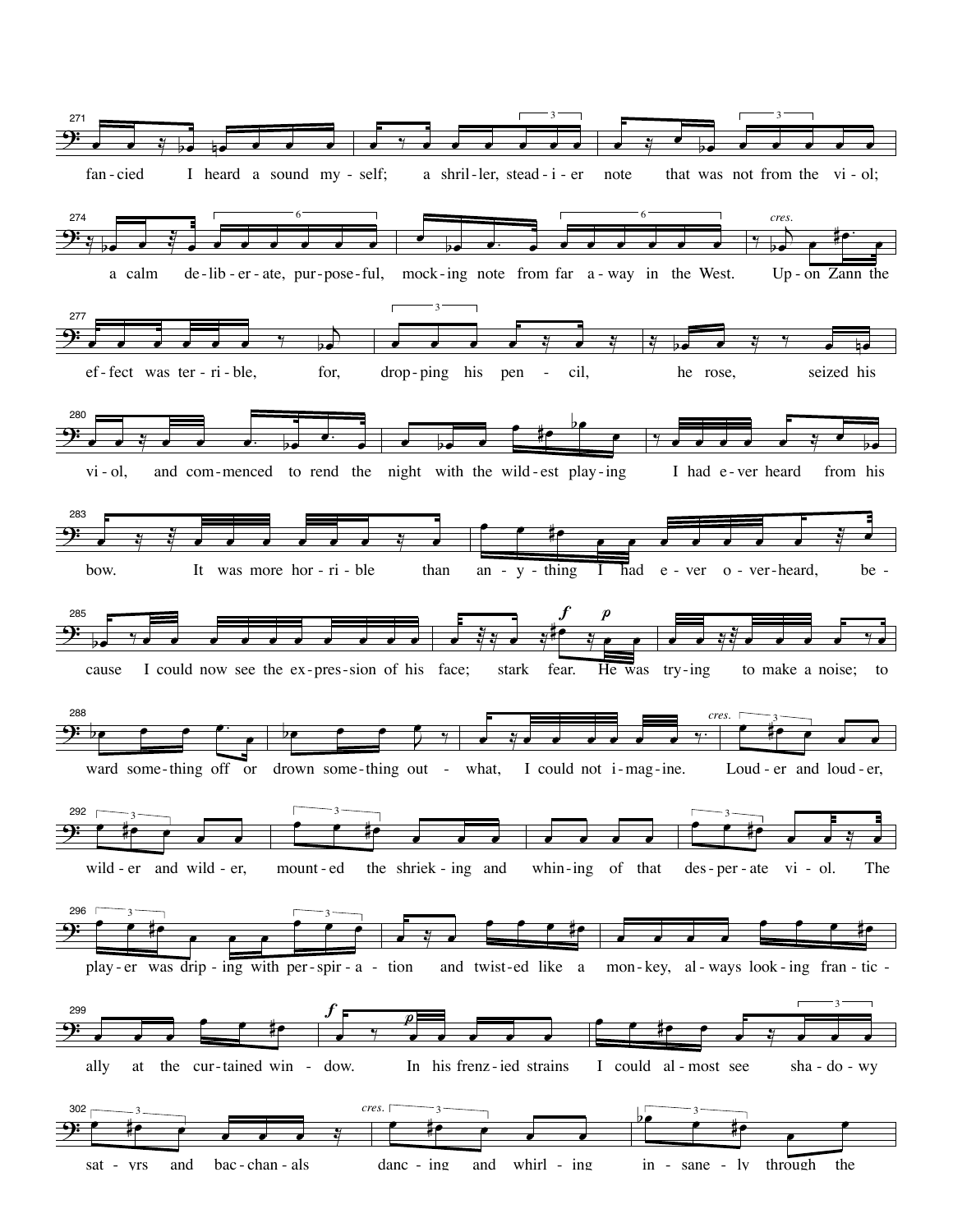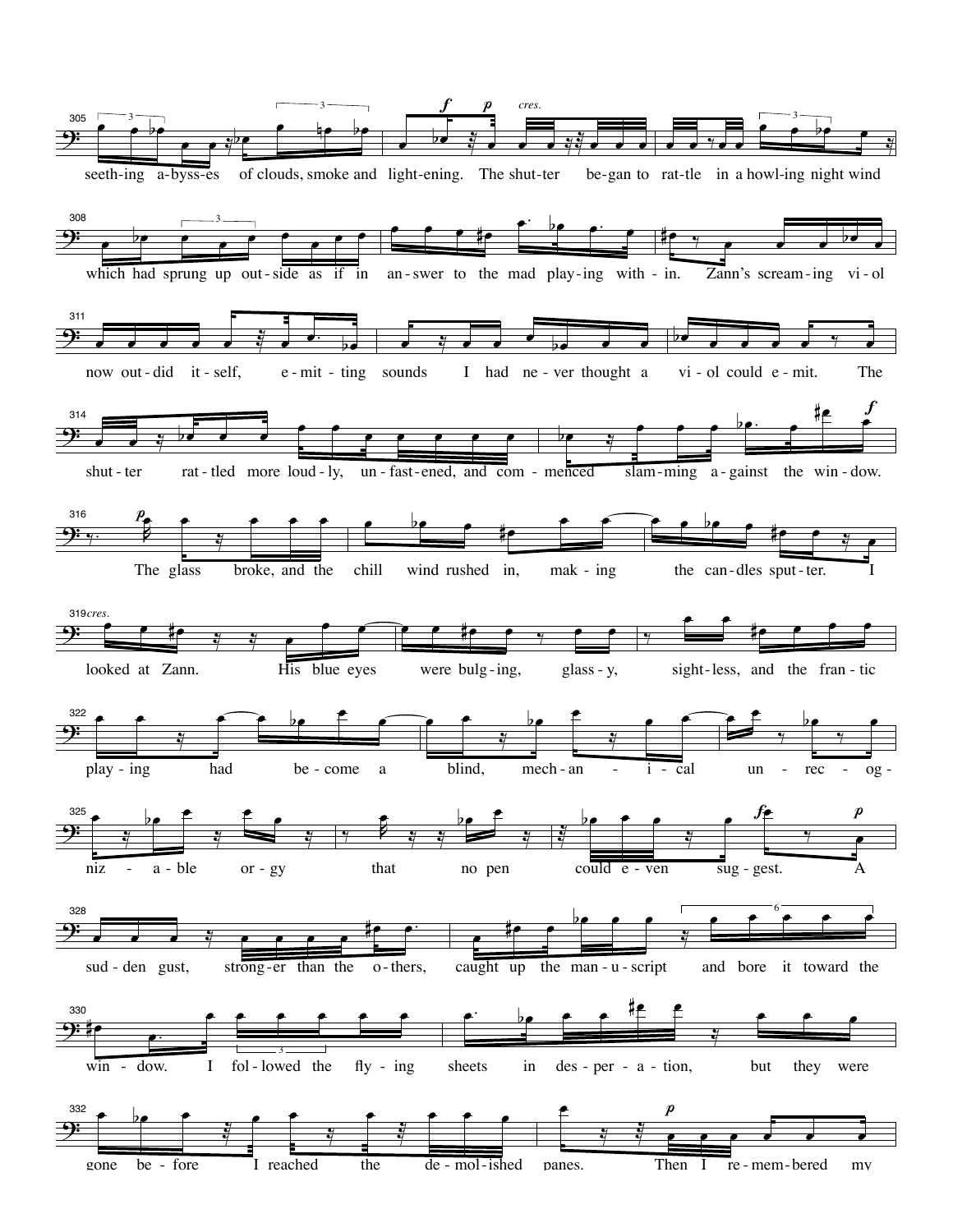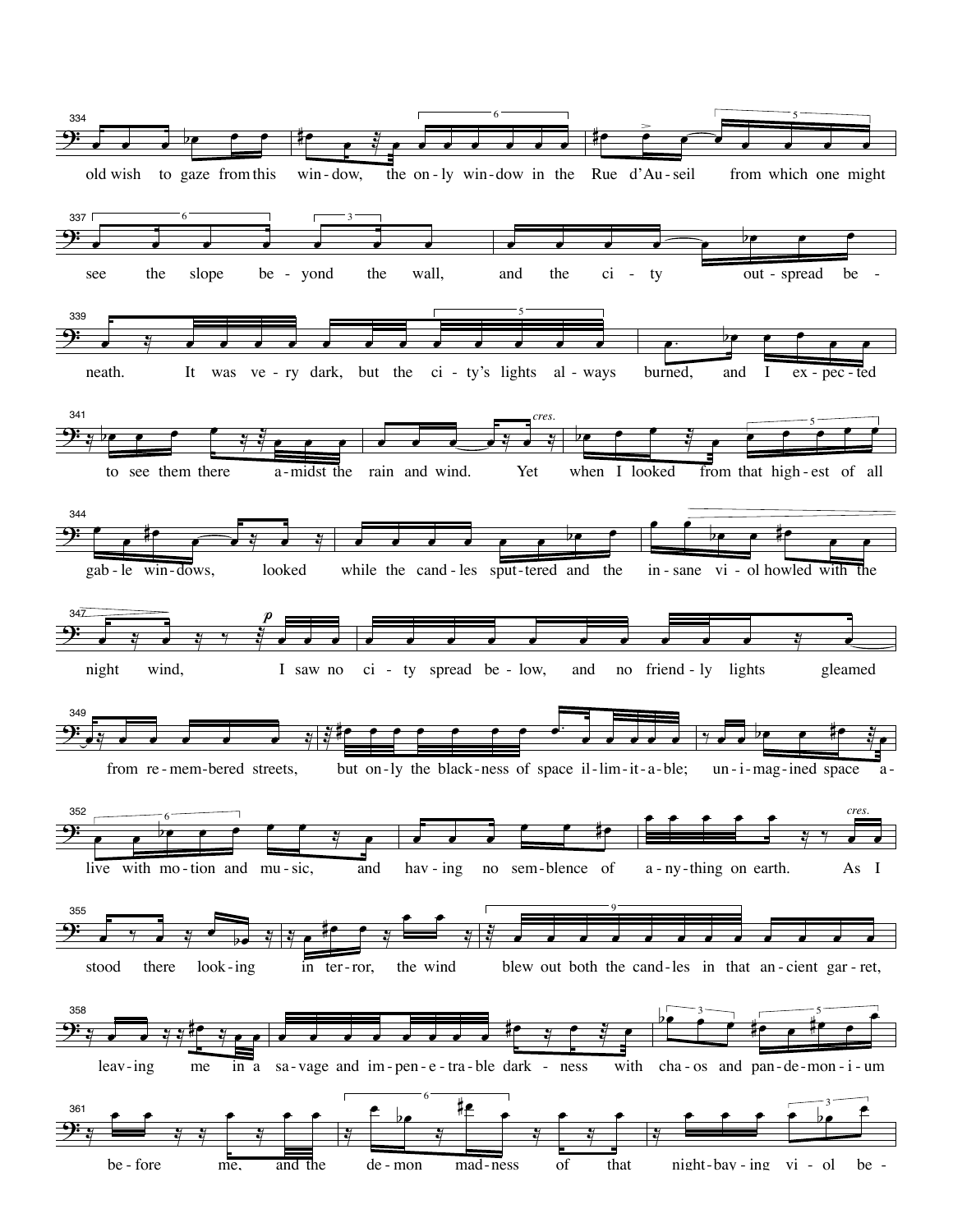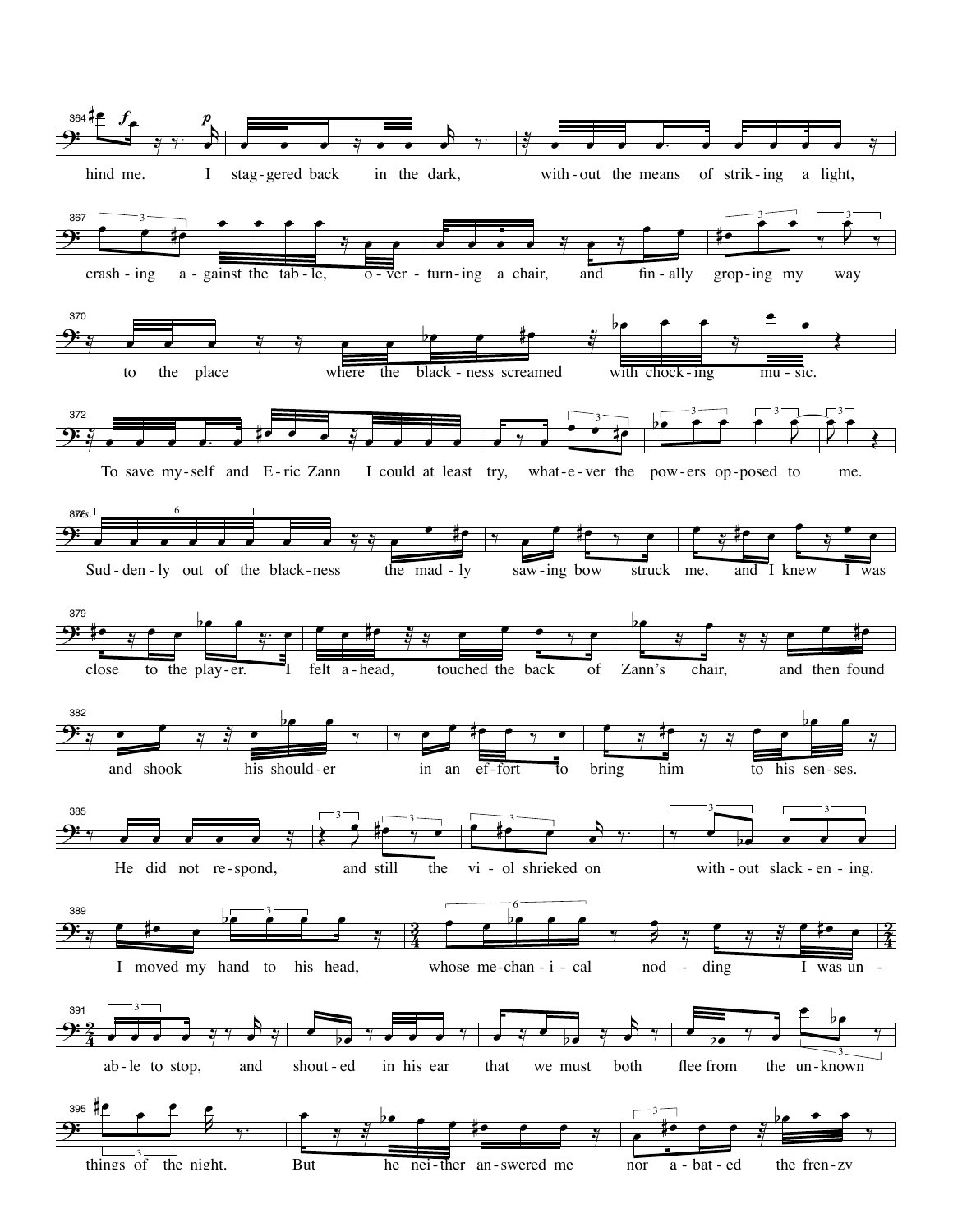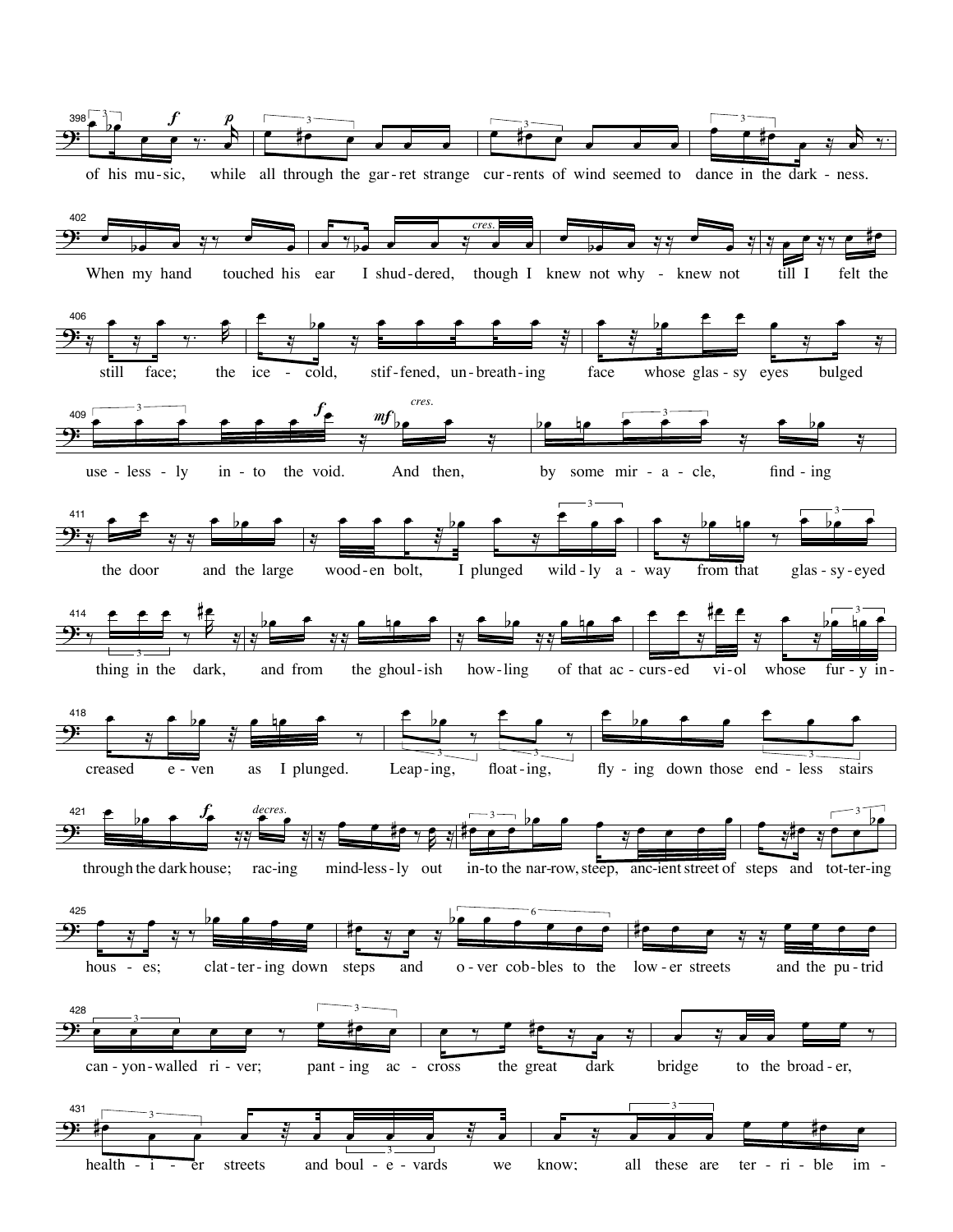